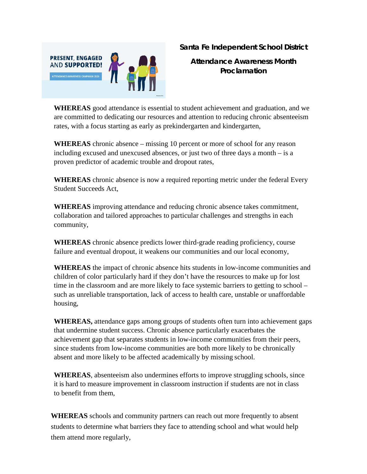

**Santa Fe Independent School District**

**Attendance Awareness Month Proclamation**

**WHEREAS** good attendance is essential to student achievement and graduation, and we are committed to dedicating our resources and attention to reducing chronic absenteeism rates, with a focus starting as early as prekindergarten and kindergarten,

**WHEREAS** chronic absence – missing 10 percent or more of school for any reason including excused and unexcused absences, or just two of three days a month – is a proven predictor of academic trouble and dropout rates,

**WHEREAS** chronic absence is now a required reporting metric under the federal Every Student Succeeds Act,

**WHEREAS** improving attendance and reducing chronic absence takes commitment, collaboration and tailored approaches to particular challenges and strengths in each community,

**WHEREAS** chronic absence predicts lower third-grade reading proficiency, course failure and eventual dropout, it weakens our communities and our local economy,

**WHEREAS** the impact of chronic absence hits students in low-income communities and children of color particularly hard if they don't have the resources to make up for lost time in the classroom and are more likely to face systemic barriers to getting to school – such as unreliable transportation, lack of access to health care, unstable or unaffordable housing,

**WHEREAS,** attendance gaps among groups of students often turn into achievement gaps that undermine student success. Chronic absence particularly exacerbates the achievement gap that separates students in low-income communities from their peers, since students from low-income communities are both more likely to be chronically absent and more likely to be affected academically by missing school.

**WHEREAS**, absenteeism also undermines efforts to improve struggling schools, since it is hard to measure improvement in classroom instruction if students are not in class to benefit from them,

**WHEREAS** schools and community partners can reach out more frequently to absent students to determine what barriers they face to attending school and what would help them attend more regularly,